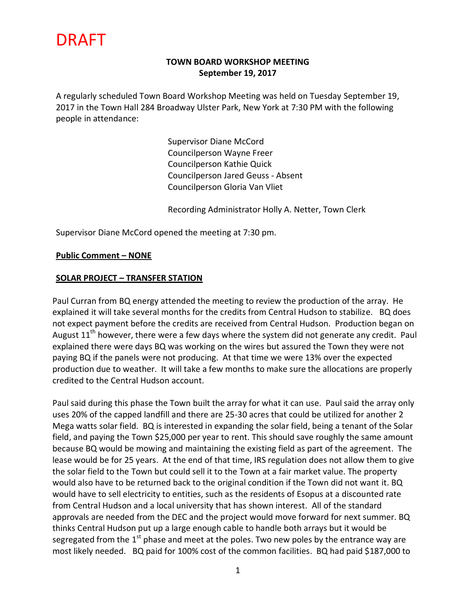#### **TOWN BOARD WORKSHOP MEETING September 19, 2017**

A regularly scheduled Town Board Workshop Meeting was held on Tuesday September 19, 2017 in the Town Hall 284 Broadway Ulster Park, New York at 7:30 PM with the following people in attendance:

> Supervisor Diane McCord Councilperson Wayne Freer Councilperson Kathie Quick Councilperson Jared Geuss - Absent Councilperson Gloria Van Vliet

Recording Administrator Holly A. Netter, Town Clerk

Supervisor Diane McCord opened the meeting at 7:30 pm.

#### **Public Comment – NONE**

#### **SOLAR PROJECT – TRANSFER STATION**

Paul Curran from BQ energy attended the meeting to review the production of the array. He explained it will take several months for the credits from Central Hudson to stabilize. BQ does not expect payment before the credits are received from Central Hudson. Production began on August  $11<sup>th</sup>$  however, there were a few days where the system did not generate any credit. Paul explained there were days BQ was working on the wires but assured the Town they were not paying BQ if the panels were not producing. At that time we were 13% over the expected production due to weather. It will take a few months to make sure the allocations are properly credited to the Central Hudson account.

Paul said during this phase the Town built the array for what it can use. Paul said the array only uses 20% of the capped landfill and there are 25-30 acres that could be utilized for another 2 Mega watts solar field. BQ is interested in expanding the solar field, being a tenant of the Solar field, and paying the Town \$25,000 per year to rent. This should save roughly the same amount because BQ would be mowing and maintaining the existing field as part of the agreement. The lease would be for 25 years. At the end of that time, IRS regulation does not allow them to give the solar field to the Town but could sell it to the Town at a fair market value. The property would also have to be returned back to the original condition if the Town did not want it. BQ would have to sell electricity to entities, such as the residents of Esopus at a discounted rate from Central Hudson and a local university that has shown interest. All of the standard approvals are needed from the DEC and the project would move forward for next summer. BQ thinks Central Hudson put up a large enough cable to handle both arrays but it would be segregated from the  $1<sup>st</sup>$  phase and meet at the poles. Two new poles by the entrance way are most likely needed. BQ paid for 100% cost of the common facilities. BQ had paid \$187,000 to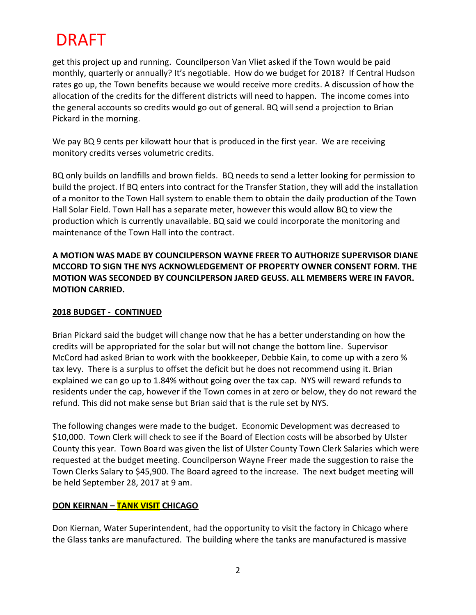get this project up and running. Councilperson Van Vliet asked if the Town would be paid monthly, quarterly or annually? It's negotiable. How do we budget for 2018? If Central Hudson rates go up, the Town benefits because we would receive more credits. A discussion of how the allocation of the credits for the different districts will need to happen. The income comes into the general accounts so credits would go out of general. BQ will send a projection to Brian Pickard in the morning.

We pay BQ 9 cents per kilowatt hour that is produced in the first year. We are receiving monitory credits verses volumetric credits.

BQ only builds on landfills and brown fields. BQ needs to send a letter looking for permission to build the project. If BQ enters into contract for the Transfer Station, they will add the installation of a monitor to the Town Hall system to enable them to obtain the daily production of the Town Hall Solar Field. Town Hall has a separate meter, however this would allow BQ to view the production which is currently unavailable. BQ said we could incorporate the monitoring and maintenance of the Town Hall into the contract.

**A MOTION WAS MADE BY COUNCILPERSON WAYNE FREER TO AUTHORIZE SUPERVISOR DIANE MCCORD TO SIGN THE NYS ACKNOWLEDGEMENT OF PROPERTY OWNER CONSENT FORM. THE MOTION WAS SECONDED BY COUNCILPERSON JARED GEUSS. ALL MEMBERS WERE IN FAVOR. MOTION CARRIED.**

#### **2018 BUDGET - CONTINUED**

Brian Pickard said the budget will change now that he has a better understanding on how the credits will be appropriated for the solar but will not change the bottom line. Supervisor McCord had asked Brian to work with the bookkeeper, Debbie Kain, to come up with a zero % tax levy. There is a surplus to offset the deficit but he does not recommend using it. Brian explained we can go up to 1.84% without going over the tax cap. NYS will reward refunds to residents under the cap, however if the Town comes in at zero or below, they do not reward the refund. This did not make sense but Brian said that is the rule set by NYS.

The following changes were made to the budget. Economic Development was decreased to \$10,000. Town Clerk will check to see if the Board of Election costs will be absorbed by Ulster County this year. Town Board was given the list of Ulster County Town Clerk Salaries which were requested at the budget meeting. Councilperson Wayne Freer made the suggestion to raise the Town Clerks Salary to \$45,900. The Board agreed to the increase. The next budget meeting will be held September 28, 2017 at 9 am.

## **DON KEIRNAN – TANK VISIT CHICAGO**

Don Kiernan, Water Superintendent, had the opportunity to visit the factory in Chicago where the Glass tanks are manufactured. The building where the tanks are manufactured is massive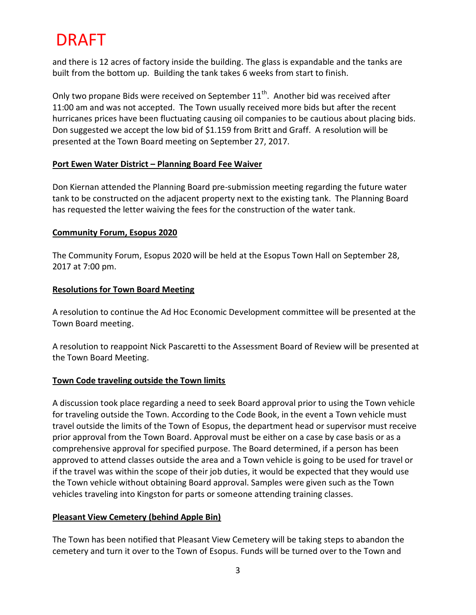and there is 12 acres of factory inside the building. The glass is expandable and the tanks are built from the bottom up. Building the tank takes 6 weeks from start to finish.

Only two propane Bids were received on September  $11<sup>th</sup>$ . Another bid was received after 11:00 am and was not accepted. The Town usually received more bids but after the recent hurricanes prices have been fluctuating causing oil companies to be cautious about placing bids. Don suggested we accept the low bid of \$1.159 from Britt and Graff. A resolution will be presented at the Town Board meeting on September 27, 2017.

#### **Port Ewen Water District – Planning Board Fee Waiver**

Don Kiernan attended the Planning Board pre-submission meeting regarding the future water tank to be constructed on the adjacent property next to the existing tank. The Planning Board has requested the letter waiving the fees for the construction of the water tank.

### **Community Forum, Esopus 2020**

The Community Forum, Esopus 2020 will be held at the Esopus Town Hall on September 28, 2017 at 7:00 pm.

### **Resolutions for Town Board Meeting**

A resolution to continue the Ad Hoc Economic Development committee will be presented at the Town Board meeting.

A resolution to reappoint Nick Pascaretti to the Assessment Board of Review will be presented at the Town Board Meeting.

## **Town Code traveling outside the Town limits**

A discussion took place regarding a need to seek Board approval prior to using the Town vehicle for traveling outside the Town. According to the Code Book, in the event a Town vehicle must travel outside the limits of the Town of Esopus, the department head or supervisor must receive prior approval from the Town Board. Approval must be either on a case by case basis or as a comprehensive approval for specified purpose. The Board determined, if a person has been approved to attend classes outside the area and a Town vehicle is going to be used for travel or if the travel was within the scope of their job duties, it would be expected that they would use the Town vehicle without obtaining Board approval. Samples were given such as the Town vehicles traveling into Kingston for parts or someone attending training classes.

## **Pleasant View Cemetery (behind Apple Bin)**

The Town has been notified that Pleasant View Cemetery will be taking steps to abandon the cemetery and turn it over to the Town of Esopus. Funds will be turned over to the Town and